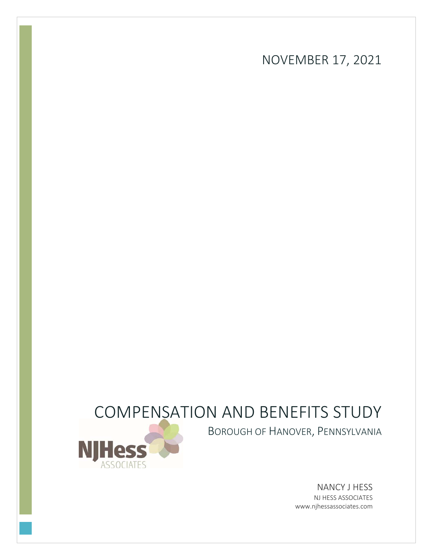NOVEMBER 17, 2021

# COMPENSATION AND BENEFITS STUDY



BOROUGH OF HANOVER, PENNSYLVANIA

NANCY J HESS NJ HESS ASSOCIATES www.njhessassociates.com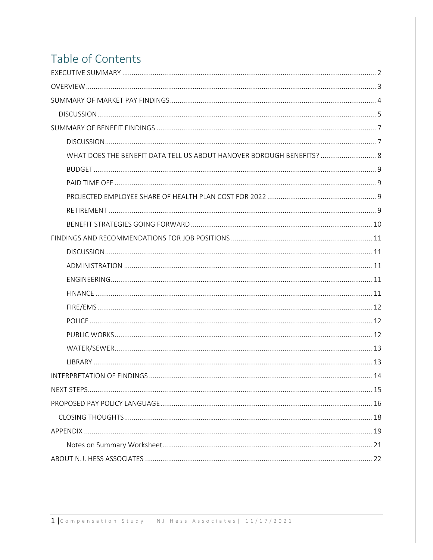# Table of Contents

| WHAT DOES THE BENEFIT DATA TELL US ABOUT HANOVER BOROUGH BENEFITS?  8 |
|-----------------------------------------------------------------------|
|                                                                       |
|                                                                       |
|                                                                       |
|                                                                       |
|                                                                       |
|                                                                       |
|                                                                       |
|                                                                       |
|                                                                       |
|                                                                       |
|                                                                       |
|                                                                       |
|                                                                       |
|                                                                       |
|                                                                       |
|                                                                       |
|                                                                       |
|                                                                       |
|                                                                       |
|                                                                       |
|                                                                       |
|                                                                       |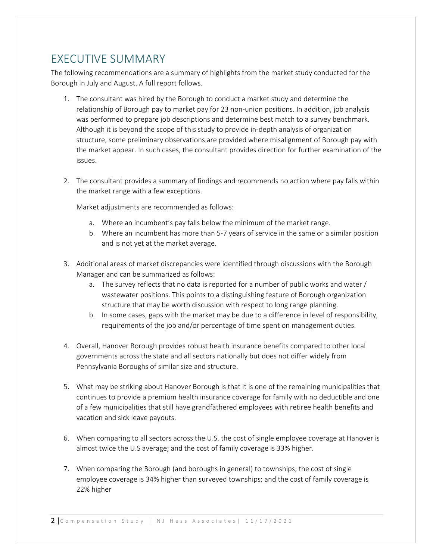## EXECUTIVE SUMMARY

The following recommendations are a summary of highlights from the market study conducted for the Borough in July and August. A full report follows.

- 1. The consultant was hired by the Borough to conduct a market study and determine the relationship of Borough pay to market pay for 23 non‐union positions. In addition, job analysis was performed to prepare job descriptions and determine best match to a survey benchmark. Although it is beyond the scope of this study to provide in‐depth analysis of organization structure, some preliminary observations are provided where misalignment of Borough pay with the market appear. In such cases, the consultant provides direction for further examination of the issues.
- 2. The consultant provides a summary of findings and recommends no action where pay falls within the market range with a few exceptions.

Market adjustments are recommended as follows:

- a. Where an incumbent's pay falls below the minimum of the market range.
- b. Where an incumbent has more than 5‐7 years of service in the same or a similar position and is not yet at the market average.
- 3. Additional areas of market discrepancies were identified through discussions with the Borough Manager and can be summarized as follows:
	- a. The survey reflects that no data is reported for a number of public works and water / wastewater positions. This points to a distinguishing feature of Borough organization structure that may be worth discussion with respect to long range planning.
	- b. In some cases, gaps with the market may be due to a difference in level of responsibility, requirements of the job and/or percentage of time spent on management duties.
- 4. Overall, Hanover Borough provides robust health insurance benefits compared to other local governments across the state and all sectors nationally but does not differ widely from Pennsylvania Boroughs of similar size and structure.
- 5. What may be striking about Hanover Borough is that it is one of the remaining municipalities that continues to provide a premium health insurance coverage for family with no deductible and one of a few municipalities that still have grandfathered employees with retiree health benefits and vacation and sick leave payouts.
- 6. When comparing to all sectors across the U.S. the cost of single employee coverage at Hanover is almost twice the U.S average; and the cost of family coverage is 33% higher.
- 7. When comparing the Borough (and boroughs in general) to townships; the cost of single employee coverage is 34% higher than surveyed townships; and the cost of family coverage is 22% higher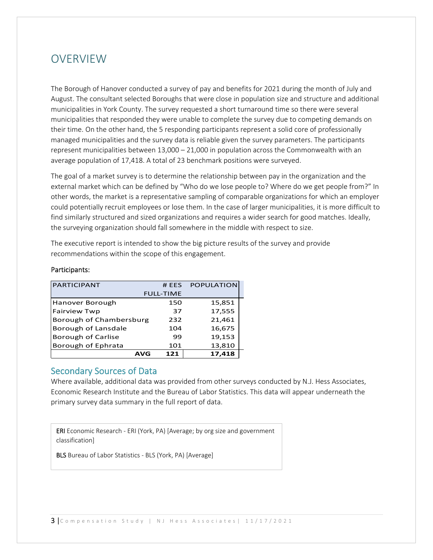## **OVERVIEW**

The Borough of Hanover conducted a survey of pay and benefits for 2021 during the month of July and August. The consultant selected Boroughs that were close in population size and structure and additional municipalities in York County. The survey requested a short turnaround time so there were several municipalities that responded they were unable to complete the survey due to competing demands on their time. On the other hand, the 5 responding participants represent a solid core of professionally managed municipalities and the survey data is reliable given the survey parameters. The participants represent municipalities between 13,000 – 21,000 in population across the Commonwealth with an average population of 17,418. A total of 23 benchmark positions were surveyed.

The goal of a market survey is to determine the relationship between pay in the organization and the external market which can be defined by "Who do we lose people to? Where do we get people from?" In other words, the market is a representative sampling of comparable organizations for which an employer could potentially recruit employees or lose them. In the case of larger municipalities, it is more difficult to find similarly structured and sized organizations and requires a wider search for good matches. Ideally, the surveying organization should fall somewhere in the middle with respect to size.

The executive report is intended to show the big picture results of the survey and provide recommendations within the scope of this engagement.

| <b>PARTICIPANT</b>        | #FFS             | <b>POPULATION</b> |
|---------------------------|------------------|-------------------|
|                           | <b>FULL-TIME</b> |                   |
| Hanover Borough           | 150              | 15,851            |
| <b>Fairview Twp</b>       | 37               | 17,555            |
| Borough of Chambersburg   | 232              | 21,461            |
| Borough of Lansdale       | 104              | 16,675            |
| <b>Borough of Carlise</b> | 99               | 19,153            |
| Borough of Ephrata        | 101              | 13,810            |
| AVG                       | 121              | 17.418            |

#### Participants:

### Secondary Sources of Data

Where available, additional data was provided from other surveys conducted by N.J. Hess Associates, Economic Research Institute and the Bureau of Labor Statistics. This data will appear underneath the primary survey data summary in the full report of data.

ERI Economic Research ‐ ERI (York, PA) [Average; by org size and government classification]

BLS Bureau of Labor Statistics ‐ BLS (York, PA) [Average]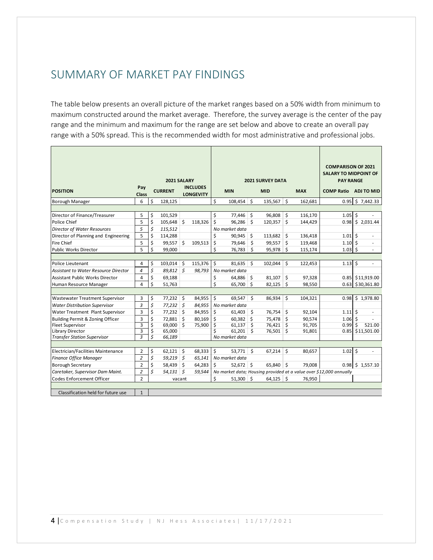## SUMMARY OF MARKET PAY FINDINGS

The table below presents an overall picture of the market ranges based on a 50% width from minimum to maximum constructed around the market average. Therefore, the survey average is the center of the pay range and the minimum and maximum for the range are set below and above to create an overall pay range with a 50% spread. This is the recommended width for most administrative and professional jobs.

|                                             |                         |    |                |         |                  | <b>2021 SURVEY DATA</b> |                |                         |             |                  |            | <b>COMPARISON OF 2021</b><br><b>SALARY TO MIDPOINT OF</b>          |                  |
|---------------------------------------------|-------------------------|----|----------------|---------|------------------|-------------------------|----------------|-------------------------|-------------|------------------|------------|--------------------------------------------------------------------|------------------|
|                                             | Pay                     |    | 2021 SALARY    |         | <b>INCLUDES</b>  |                         |                |                         |             | <b>PAY RANGE</b> |            |                                                                    |                  |
| <b>POSITION</b>                             | <b>Class</b>            |    | <b>CURRENT</b> |         | <b>LONGEVITY</b> |                         | <b>MIN</b>     |                         | <b>MID</b>  |                  | <b>MAX</b> | <b>COMP Ratio</b>                                                  | ADJ TO MID       |
| Borough Manager                             | 6                       | Ś  | 128,125        |         |                  | \$                      | 108,454        | Ś                       | 135,567     | \$               | 162,681    | 0.95                                                               | \$7,442.33       |
|                                             |                         |    |                |         |                  |                         |                |                         |             |                  |            |                                                                    |                  |
| Director of Finance/Treasurer               | 5                       | \$ | 101,529        |         |                  | \$                      | 77,446         | \$                      | 96.808      | \$               | 116,170    | 1.05                                                               | \$               |
| Police Chief                                | 5                       | \$ | 105,648        | \$      | 118,326          | \$                      | 96,286         | \$                      | 120,357     | \$               | 144,429    | 0.98                                                               | \$2,031.44       |
| <b>Director of Water Resources</b>          | 5                       | \$ | 115,512        |         |                  |                         | No market data |                         |             |                  |            |                                                                    |                  |
| Director of Planning and Engineering        | 5                       | \$ | 114,288        |         |                  | \$                      | 90,945         | \$                      | 113,682     | \$               | 136,418    | 1.01                                                               | Ś<br>÷,          |
| <b>Fire Chief</b>                           | 5                       | \$ | 99,557         | \$      | 109,513          | \$                      | 79,646         | \$                      | 99,557      | \$               | 119,468    | 1.10                                                               | Ś                |
| <b>Public Works Director</b>                | 5                       | \$ | 99.000         |         |                  | Ś                       | 76.783         | Ś                       | 95,978      | Ś.               | 115,174    | 1.03                                                               | Ś.               |
|                                             |                         |    |                |         |                  |                         |                |                         |             |                  |            |                                                                    |                  |
| <b>Police Lieutenant</b>                    | $\overline{4}$          | \$ | 103,014        | \$      | 115,376          | \$                      | 81,635         | Ŝ.                      | 102,044     | \$               | 122,453    | 1.13                                                               | Ś<br>÷,          |
| <b>Assistant to Water Resource Director</b> | 4                       | \$ | 89,812 \$      |         | 98,793           |                         | No market data |                         |             |                  |            |                                                                    |                  |
| <b>Assistant Public Works Director</b>      | 4                       | \$ | 69,188         |         |                  | \$                      | 64,886 \$      |                         | 81.107      | Ś.               | 97,328     |                                                                    | 0.85 \$11,919.00 |
| Human Resource Manager                      | 4                       | \$ | 51.763         |         |                  | \$                      | 65,700         | Ŝ.                      | 82.125      | Ś.               | 98,550     | 0.63                                                               | \$30,361.80      |
|                                             |                         |    |                |         |                  |                         |                |                         |             |                  |            |                                                                    |                  |
| <b>Wastewater Treatment Supervisor</b>      | 3                       | \$ | 77,232         | \$      | 84,955           | \$                      | 69.547         | \$                      | 86,934      | \$               | 104,321    | 0.98                                                               | \$1,978.80       |
| <b>Water Distribution Supervisor</b>        | 3                       | \$ | $77,232$ \$    |         | 84,955           |                         | No market data |                         |             |                  |            |                                                                    |                  |
| Water Treatment Plant Supervisor            | 3                       | \$ | 77,232         | \$      | 84,955           | \$                      | 61,403         | \$                      | 76,754      | \$               | 92,104     | 1.11                                                               | \$<br>ä,         |
| Building Permit & Zoning Officer            | 3                       | \$ | 72,881         | $\zeta$ | 80,169           | \$                      | 60,382         | $\zeta$                 | 75,478 \$   |                  | 90,574     | 1.06                                                               | \$               |
| <b>Fleet Supervisor</b>                     | 3                       | \$ | 69,000 \$      |         | 75,900           | \$                      | 61,137         | $\overline{\mathsf{S}}$ | 76,421      | \$               | 91,705     | 0.99                                                               | Ś<br>521.00      |
| Library Director                            | 3                       | \$ | 65,000         |         |                  | \$                      | 61,201         | Ś.                      | 76,501      | \$               | 91,801     | 0.85                                                               | \$11,501.00      |
| <b>Transfer Station Supervisor</b>          | $\overline{\mathbf{3}}$ | Ś  | 66,189         |         |                  |                         | No market data |                         |             |                  |            |                                                                    |                  |
|                                             |                         |    |                |         |                  |                         |                |                         |             |                  |            |                                                                    |                  |
| Electrician/Facilities Maintenance          | $\overline{2}$          | \$ | 62,121         | \$      | 68,333           | \$                      | 53,771         | $\ddot{\mathsf{s}}$     | 67,214      | \$               | 80,657     | 1.02                                                               | \$<br>ä,         |
| Finance Office Manager                      | $\overline{c}$          | \$ | 59,219         | \$      | 65,141           |                         | No market data |                         |             |                  |            |                                                                    |                  |
| <b>Borough Secretary</b>                    | $\overline{2}$          | \$ | 58,439         | \$      | 64,283           | \$                      | $52,672$ \$    |                         | 65,840      | Ŝ.               | 79.008     |                                                                    | 0.98 \$ 1,557.10 |
| Caretaker, Supervisor Dam Maint.            | $\overline{c}$          | \$ | $54,131$ \$    |         | 59,544           |                         |                |                         |             |                  |            | No market data; Housing provided at a value over \$12,000 annually |                  |
| <b>Codes Enforcement Officer</b>            | $\overline{2}$          |    |                | vacant  |                  | \$                      | $51,300$ \$    |                         | $64,125$ \$ |                  | 76,950     |                                                                    |                  |
| Classification held for future use          | $\mathbf{1}$            |    |                |         |                  |                         |                |                         |             |                  |            |                                                                    |                  |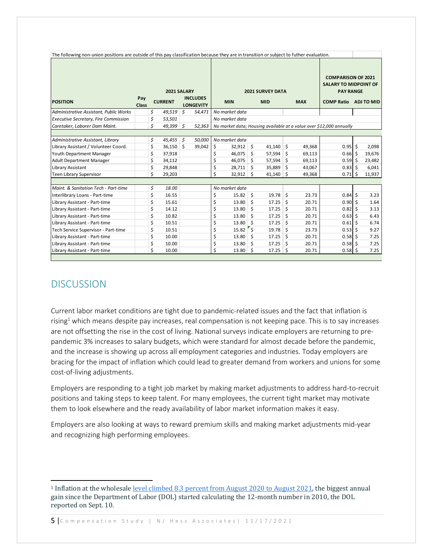| The following non-union positions are outside of this pay classification because they are in transition or subject to futher evaluation. |                     |                |    |                                     |                |        |                         |                                                                               |    |            |                                                                     |     |            |
|------------------------------------------------------------------------------------------------------------------------------------------|---------------------|----------------|----|-------------------------------------|----------------|--------|-------------------------|-------------------------------------------------------------------------------|----|------------|---------------------------------------------------------------------|-----|------------|
|                                                                                                                                          |                     | 2021 SALARY    |    |                                     |                |        | <b>2021 SURVEY DATA</b> | <b>COMPARISON OF 2021</b><br><b>SALARY TO MIDPOINT OF</b><br><b>PAY RANGE</b> |    |            |                                                                     |     |            |
| <b>POSITION</b>                                                                                                                          | Pay<br><b>Class</b> | <b>CURRENT</b> |    | <b>INCLUDES</b><br><b>LONGEVITY</b> | <b>MIN</b>     |        |                         | <b>MID</b>                                                                    |    | <b>MAX</b> | <b>COMP Ratio</b>                                                   |     | ADJ TO MID |
| Administrative Assistant, Public Works                                                                                                   |                     | \$<br>49.519   | Ś. | 54,471                              | No market data |        |                         |                                                                               |    |            |                                                                     |     |            |
| <b>Executive Secretary, Fire Commission</b>                                                                                              |                     | \$<br>53,501   |    |                                     | No market data |        |                         |                                                                               |    |            |                                                                     |     |            |
| Caretaker, Laborer Dam Maint.                                                                                                            |                     | \$<br>49,399   | \$ | 52,363                              |                |        |                         |                                                                               |    |            | No market data; Housing available at a value over \$12,000 annually |     |            |
|                                                                                                                                          |                     |                |    |                                     |                |        |                         |                                                                               |    |            |                                                                     |     |            |
| Administrative Assistant, Library                                                                                                        |                     | \$<br>45,455   | \$ | 50,000                              | No market data |        |                         |                                                                               |    |            |                                                                     |     |            |
| Library Assistant / Volunteer Coord.                                                                                                     |                     | \$<br>36,150   | \$ | 39,042                              | \$             | 32,912 | \$                      | 41,140                                                                        | \$ | 49,368     | 0.95                                                                | -\$ | 2,098      |
| Youth Department Manager                                                                                                                 |                     | \$<br>37,918   |    |                                     | Ś              | 46.075 | Ś.                      | 57,594                                                                        | Ŝ. | 69,113     | 0.66                                                                | Ŝ   | 19,676     |
| <b>Adult Department Manager</b>                                                                                                          |                     | \$<br>34,112   |    |                                     | \$             | 46,075 | Ś                       | 57,594                                                                        | Ś. | 69,113     | 0.59                                                                | -Ś  | 23,482     |
| Library Assistant                                                                                                                        |                     | \$<br>29,848   |    |                                     | \$             | 28,711 | Ŝ.                      | 35,889                                                                        | Ś  | 43,067     | 0.83                                                                | .S  | 6,041      |
| <b>Teen Library Supervisor</b>                                                                                                           |                     | \$<br>29,203   |    |                                     | Ś              | 32,912 | Ś.                      | 41,140                                                                        | Ś  | 49,368     | 0.71                                                                | -Ś  | 11,937     |
|                                                                                                                                          |                     |                |    |                                     |                |        |                         |                                                                               |    |            |                                                                     |     |            |
| Maint. & Sanitation Tech - Part-time                                                                                                     |                     | \$<br>18.00    |    |                                     | No market data |        |                         |                                                                               |    |            |                                                                     |     |            |
| Interlibrary Loans - Part-time                                                                                                           |                     | \$<br>16.55    |    |                                     | \$             | 15.82  | \$                      | 19.78                                                                         | \$ | 23.73      | 0.84                                                                | -\$ | 3.23       |
| Library Assistant - Part-time                                                                                                            |                     | \$<br>15.61    |    |                                     | \$             | 13.80  | \$                      | 17.25                                                                         | Ś. | 20.71      | $0.90$ \$                                                           |     | 1.64       |
| Library Assistant - Part-time                                                                                                            |                     | \$<br>14.12    |    |                                     | \$             | 13.80  | Ś.                      | 17.25                                                                         | Ś. | 20.71      | $0.82 \,$ \$                                                        |     | 3.13       |
| Library Assistant - Part-time                                                                                                            |                     | \$<br>10.82    |    |                                     | \$             | 13.80  | Ś                       | 17.25                                                                         | Ś  | 20.71      | $0.63$ \$                                                           |     | 6.43       |
| Library Assistant - Part-time                                                                                                            |                     | \$<br>10.51    |    |                                     | \$             | 13.80  | Ś.                      | 17.25                                                                         | Ś  | 20.71      | 0.61                                                                | Ŝ.  | 6.74       |
| Tech Service Supervisor - Part-time                                                                                                      |                     | \$<br>10.51    |    |                                     | \$             | 15.82  | $\mathsf{S}$            | 19.78                                                                         | Ś. | 23.73      | $0.53$ \$                                                           |     | 9.27       |
| Library Assistant - Part-time                                                                                                            |                     | \$<br>10.00    |    |                                     | \$             | 13.80  | Ś.                      | 17.25                                                                         | Ś. | 20.71      | $0.58$ \$                                                           |     | 7.25       |
| Library Assistant - Part-time                                                                                                            |                     | \$<br>10.00    |    |                                     | \$             | 13.80  | \$                      | 17.25                                                                         | \$ | 20.71      | $0.58$ \$                                                           |     | 7.25       |
| Library Assistant - Part-time                                                                                                            |                     | \$<br>10.00    |    |                                     | \$             | 13.80  | \$                      | 17.25                                                                         | \$ | 20.71      | $0.58$ \$                                                           |     | 7.25       |

## DISCUSSION

Current labor market conditions are tight due to pandemic‐related issues and the fact that inflation is rising<sup>1</sup> which means despite pay increases, real compensation is not keeping pace. This is to say increases are not offsetting the rise in the cost of living. National surveys indicate employers are returning to prepandemic 3% increases to salary budgets, which were standard for almost decade before the pandemic, and the increase is showing up across all employment categories and industries. Today employers are bracing for the impact of inflation which could lead to greater demand from workers and unions for some cost‐of‐living adjustments.

Employers are responding to a tight job market by making market adjustments to address hard‐to‐recruit positions and taking steps to keep talent. For many employees, the current tight market may motivate them to look elsewhere and the ready availability of labor market information makes it easy.

Employers are also looking at ways to reward premium skills and making market adjustments mid‐year and recognizing high performing employees.

5 Compensation Study | NJ Hess Associates | 11/17/2021

<sup>1</sup> Inflation at the wholesale level climbed 8.3 percent from August 2020 to August 2021, the biggest annual gain since the Department of Labor (DOL) started calculating the 12-month number in 2010, the DOL reported on Sept. 10.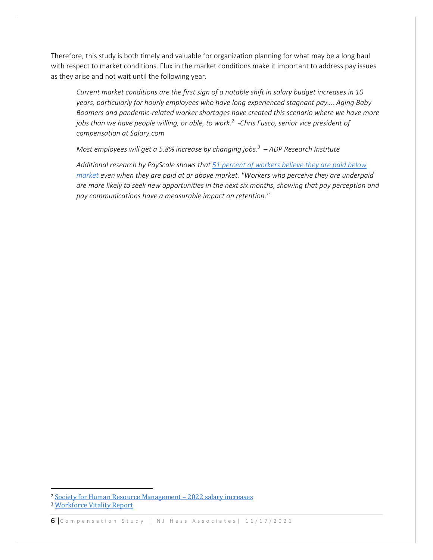Therefore, this study is both timely and valuable for organization planning for what may be a long haul with respect to market conditions. Flux in the market conditions make it important to address pay issues as they arise and not wait until the following year.

*Current market conditions are the first sign of a notable shift in salary budget increases in 10 years, particularly for hourly employees who have long experienced stagnant pay…. Aging Baby Boomers and pandemic‐related worker shortages have created this scenario where we have more jobs than we have people willing, or able, to work.2 ‐Chris Fusco, senior vice president of compensation at Salary.com* 

*Most employees will get a 5.8% increase by changing jobs.3 – ADP Research Institute* 

*Additional research by PayScale shows that 51 percent of workers believe they are paid below market even when they are paid at or above market. "Workers who perceive they are underpaid are more likely to seek new opportunities in the next six months, showing that pay perception and pay communications have a measurable impact on retention."* 

<sup>2</sup> Society for Human Resource Management – 2022 salary increases

<sup>3</sup> Workforce Vitality Report

<sup>6</sup> Compensation Study | NJ Hess Associates | 11/17/2021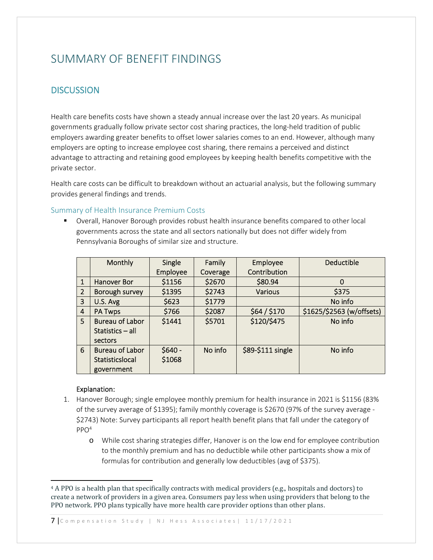## SUMMARY OF BENEFIT FINDINGS

## **DISCUSSION**

Health care benefits costs have shown a steady annual increase over the last 20 years. As municipal governments gradually follow private sector cost sharing practices, the long‐held tradition of public employers awarding greater benefits to offset lower salaries comes to an end. However, although many employers are opting to increase employee cost sharing, there remains a perceived and distinct advantage to attracting and retaining good employees by keeping health benefits competitive with the private sector.

Health care costs can be difficult to breakdown without an actuarial analysis, but the following summary provides general findings and trends.

#### Summary of Health Insurance Premium Costs

 Overall, Hanover Borough provides robust health insurance benefits compared to other local governments across the state and all sectors nationally but does not differ widely from Pennsylvania Boroughs of similar size and structure.

|   | <b>Monthly</b>         | Single   | Family   | Employee          | <b>Deductible</b>         |
|---|------------------------|----------|----------|-------------------|---------------------------|
|   |                        | Employee | Coverage | Contribution      |                           |
| 1 | <b>Hanover Bor</b>     | \$1156   | \$2670   | \$80.94           | 0                         |
| 2 | Borough survey         | \$1395   | \$2743   | <b>Various</b>    | \$375                     |
| 3 | U.S. Avg               | \$623    | \$1779   |                   | No info                   |
| 4 | <b>PA Twps</b>         | \$766    | \$2087   | \$64/\$170        | \$1625/\$2563 (w/offsets) |
| 5 | <b>Bureau of Labor</b> | \$1441   | \$5701   | \$120/\$475       | No info                   |
|   | Statistics - all       |          |          |                   |                           |
|   | sectors                |          |          |                   |                           |
| 6 | <b>Bureau of Labor</b> | $$640 -$ | No info  | \$89-\$111 single | No info                   |
|   | Statisticslocal        | \$1068   |          |                   |                           |
|   | government             |          |          |                   |                           |

#### Explanation:

- 1. Hanover Borough; single employee monthly premium for health insurance in 2021 is \$1156 (83% of the survey average of \$1395); family monthly coverage is \$2670 (97% of the survey average ‐ \$2743) Note: Survey participants all report health benefit plans that fall under the category of  $PPO<sup>4</sup>$ 
	- o While cost sharing strategies differ, Hanover is on the low end for employee contribution to the monthly premium and has no deductible while other participants show a mix of formulas for contribution and generally low deductibles (avg of \$375).

7 Compensation Study | NJ Hess Associates | 11/17/2021

<sup>4</sup> A PPO is a health plan that specifically contracts with medical providers (e.g., hospitals and doctors) to create a network of providers in a given area. Consumers pay less when using providers that belong to the PPO network. PPO plans typically have more health care provider options than other plans.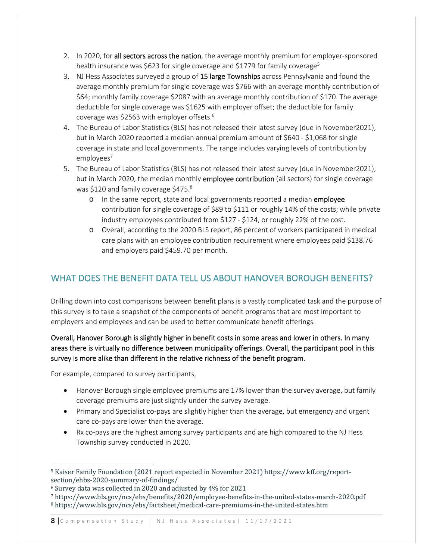- 2. In 2020, for all sectors across the nation, the average monthly premium for employer-sponsored health insurance was \$623 for single coverage and \$1779 for family coverage<sup>5</sup>
- 3. NJ Hess Associates surveyed a group of 15 large Townships across Pennsylvania and found the average monthly premium for single coverage was \$766 with an average monthly contribution of \$64; monthly family coverage \$2087 with an average monthly contribution of \$170. The average deductible for single coverage was \$1625 with employer offset; the deductible for family coverage was \$2563 with employer offsets.6
- 4. The Bureau of Labor Statistics (BLS) has not released their latest survey (due in November2021), but in March 2020 reported a median annual premium amount of \$640 ‐ \$1,068 for single coverage in state and local governments. The range includes varying levels of contribution by employees<sup>7</sup>
- 5. The Bureau of Labor Statistics (BLS) has not released their latest survey (due in November2021), but in March 2020, the median monthly employee contribution (all sectors) for single coverage was \$120 and family coverage \$475.8
	- o In the same report, state and local governments reported a median employee contribution for single coverage of \$89 to \$111 or roughly 14% of the costs; while private industry employees contributed from \$127 ‐ \$124, or roughly 22% of the cost.
	- o Overall, according to the 2020 BLS report, 86 percent of workers participated in medical care plans with an employee contribution requirement where employees paid \$138.76 and employers paid \$459.70 per month.

## WHAT DOES THE BENEFIT DATA TELL US ABOUT HANOVER BOROUGH BENEFITS?

Drilling down into cost comparisons between benefit plans is a vastly complicated task and the purpose of this survey is to take a snapshot of the components of benefit programs that are most important to employers and employees and can be used to better communicate benefit offerings.

### Overall, Hanover Borough is slightly higher in benefit costs in some areas and lower in others. In many areas there is virtually no difference between municipality offerings. Overall, the participant pool in this survey is more alike than different in the relative richness of the benefit program.

For example, compared to survey participants,

- Hanover Borough single employee premiums are 17% lower than the survey average, but family coverage premiums are just slightly under the survey average.
- Primary and Specialist co-pays are slightly higher than the average, but emergency and urgent care co‐pays are lower than the average.
- Rx co-pays are the highest among survey participants and are high compared to the NJ Hess Township survey conducted in 2020.

<sup>5</sup> Kaiser Family Foundation (2021 report expected in November 2021) https://www.kff.org/reportsection/ehbs-2020-summary-of-findings/

<sup>&</sup>lt;sup>6</sup> Survey data was collected in 2020 and adjusted by 4% for 2021<br>
<sup>7</sup> https://www.bls.gov/ncs/ebs/benefits/2020/employee-benefits-in-the-united-states-march-2020.pdf<br>
<sup>8</sup> https://www.bls.gov/ncs/ebs/factsheet/medical-car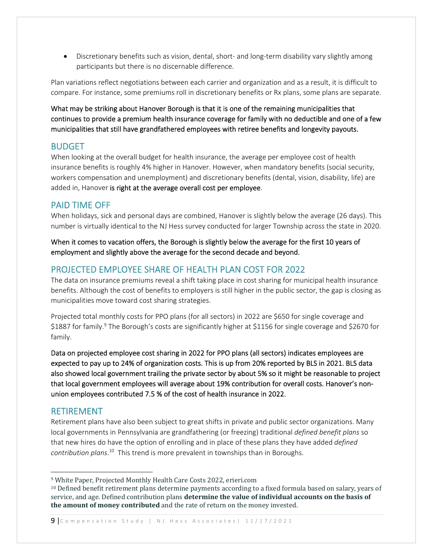● Discretionary benefits such as vision, dental, short- and long-term disability vary slightly among participants but there is no discernable difference.

Plan variations reflect negotiations between each carrier and organization and as a result, it is difficult to compare. For instance, some premiums roll in discretionary benefits or Rx plans, some plans are separate.

What may be striking about Hanover Borough is that it is one of the remaining municipalities that continues to provide a premium health insurance coverage for family with no deductible and one of a few municipalities that still have grandfathered employees with retiree benefits and longevity payouts.

### BUDGET

When looking at the overall budget for health insurance, the average per employee cost of health insurance benefits is roughly 4% higher in Hanover. However, when mandatory benefits (social security, workers compensation and unemployment) and discretionary benefits (dental, vision, disability, life) are added in, Hanover is right at the average overall cost per employee.

### PAID TIME OFF

When holidays, sick and personal days are combined, Hanover is slightly below the average (26 days). This number is virtually identical to the NJ Hess survey conducted for larger Township across the state in 2020.

When it comes to vacation offers, the Borough is slightly below the average for the first 10 years of employment and slightly above the average for the second decade and beyond.

## PROJECTED EMPLOYEE SHARE OF HEALTH PLAN COST FOR 2022

The data on insurance premiums reveal a shift taking place in cost sharing for municipal health insurance benefits. Although the cost of benefits to employers is still higher in the public sector, the gap is closing as municipalities move toward cost sharing strategies.

Projected total monthly costs for PPO plans (for all sectors) in 2022 are \$650 for single coverage and \$1887 for family.<sup>9</sup> The Borough's costs are significantly higher at \$1156 for single coverage and \$2670 for family.

Data on projected employee cost sharing in 2022 for PPO plans (all sectors) indicates employees are expected to pay up to 24% of organization costs. This is up from 20% reported by BLS in 2021. BLS data also showed local government trailing the private sector by about 5% so it might be reasonable to project that local government employees will average about 19% contribution for overall costs. Hanover's non‐ union employees contributed 7.5 % of the cost of health insurance in 2022.

### RETIREMENT

Retirement plans have also been subject to great shifts in private and public sector organizations. Many local governments in Pennsylvania are grandfathering (or freezing) traditional *defined benefit plans* so that new hires do have the option of enrolling and in place of these plans they have added *defined contribution plans*. 10 This trend is more prevalent in townships than in Boroughs.

9 | Compensation Study | NJ Hess Associates | 11/17/2021

<sup>&</sup>lt;sup>9</sup> White Paper, Projected Monthly Health Care Costs 2022, erieri.com<br><sup>10</sup> Defined benefit retirement plans determine payments according to a fixed formula based on salary, years of service, and age. Defined contribution plans **determine the value of individual accounts on the basis of the amount of money contributed** and the rate of return on the money invested.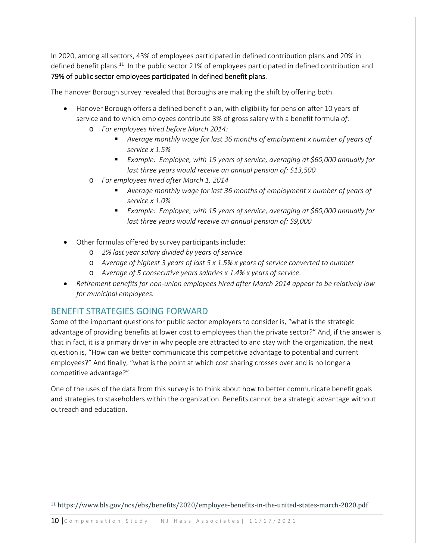In 2020, among all sectors, 43% of employees participated in defined contribution plans and 20% in defined benefit plans.<sup>11</sup> In the public sector 21% of employees participated in defined contribution and 79% of public sector employees participated in defined benefit plans.

The Hanover Borough survey revealed that Boroughs are making the shift by offering both.

- Hanover Borough offers a defined benefit plan, with eligibility for pension after 10 years of service and to which employees contribute 3% of gross salary with a benefit formula *of:* 
	- o *For employees hired before March 2014:* 
		- *Average monthly wage for last 36 months of employment x number of years of service x 1.5%*
		- *Example: Employee, with 15 years of service, averaging at \$60,000 annually for last three years would receive an annual pension of: \$13,500*
	- o *For employees hired after March 1, 2014* 
		- *Average monthly wage for last 36 months of employment x number of years of service x 1.0%*
		- *Example: Employee, with 15 years of service, averaging at \$60,000 annually for last three years would receive an annual pension of: \$9,000*
- Other formulas offered by survey participants include:
	- o *2% last year salary divided by years of service*
	- o *Average of highest 3 years of last 5 x 1.5% x years of service converted to number*
	- o *Average of 5 consecutive years salaries x 1.4% x years of service.*
- *Retirement benefits for non‐union employees hired after March 2014 appear to be relatively low for municipal employees.*

## BENEFIT STRATEGIES GOING FORWARD

Some of the important questions for public sector employers to consider is, "what is the strategic advantage of providing benefits at lower cost to employees than the private sector?" And, if the answer is that in fact, it is a primary driver in why people are attracted to and stay with the organization, the next question is, "How can we better communicate this competitive advantage to potential and current employees?" And finally, "what is the point at which cost sharing crosses over and is no longer a competitive advantage?"

One of the uses of the data from this survey is to think about how to better communicate benefit goals and strategies to stakeholders within the organization. Benefits cannot be a strategic advantage without outreach and education.

<sup>11</sup> https://www.bls.gov/ncs/ebs/benefits/2020/employee-benefits-in-the-united-states-march-2020.pdf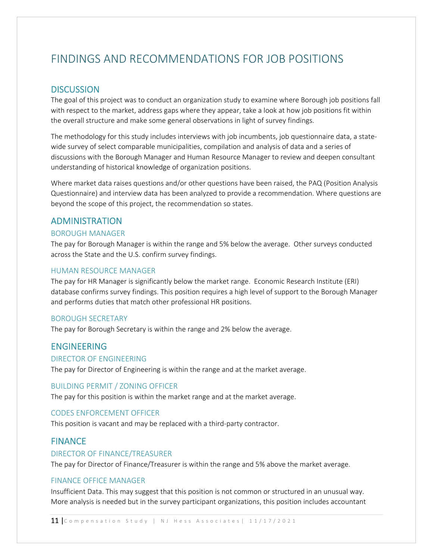## FINDINGS AND RECOMMENDATIONS FOR JOB POSITIONS

#### **DISCUSSION**

The goal of this project was to conduct an organization study to examine where Borough job positions fall with respect to the market, address gaps where they appear, take a look at how job positions fit within the overall structure and make some general observations in light of survey findings.

The methodology for this study includes interviews with job incumbents, job questionnaire data, a state‐ wide survey of select comparable municipalities, compilation and analysis of data and a series of discussions with the Borough Manager and Human Resource Manager to review and deepen consultant understanding of historical knowledge of organization positions.

Where market data raises questions and/or other questions have been raised, the PAQ (Position Analysis Questionnaire) and interview data has been analyzed to provide a recommendation. Where questions are beyond the scope of this project, the recommendation so states.

#### ADMINISTRATION

#### BOROUGH MANAGER

The pay for Borough Manager is within the range and 5% below the average. Other surveys conducted across the State and the U.S. confirm survey findings.

#### HUMAN RESOURCE MANAGER

The pay for HR Manager is significantly below the market range. Economic Research Institute (ERI) database confirms survey findings. This position requires a high level of support to the Borough Manager and performs duties that match other professional HR positions.

#### BOROUGH SECRETARY

The pay for Borough Secretary is within the range and 2% below the average.

#### ENGINEERING

#### DIRECTOR OF ENGINEERING

The pay for Director of Engineering is within the range and at the market average.

#### BUILDING PERMIT / ZONING OFFICER

The pay for this position is within the market range and at the market average.

#### CODES ENFORCEMENT OFFICER

This position is vacant and may be replaced with a third‐party contractor.

#### **FINANCE**

#### DIRECTOR OF FINANCE/TREASURER

The pay for Director of Finance/Treasurer is within the range and 5% above the market average.

#### FINANCE OFFICE MANAGER

Insufficient Data. This may suggest that this position is not common or structured in an unusual way. More analysis is needed but in the survey participant organizations, this position includes accountant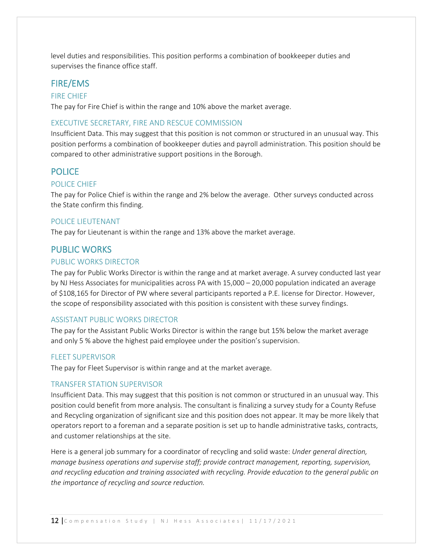level duties and responsibilities. This position performs a combination of bookkeeper duties and supervises the finance office staff.

#### FIRE/EMS

#### FIRE CHIEF

The pay for Fire Chief is within the range and 10% above the market average.

#### EXECUTIVE SECRETARY, FIRE AND RESCUE COMMISSION

Insufficient Data. This may suggest that this position is not common or structured in an unusual way. This position performs a combination of bookkeeper duties and payroll administration. This position should be compared to other administrative support positions in the Borough.

#### **POLICE**

#### POLICE CHIEF

The pay for Police Chief is within the range and 2% below the average. Other surveys conducted across the State confirm this finding.

#### POLICE LIEUTENANT

The pay for Lieutenant is within the range and 13% above the market average.

#### PUBLIC WORKS

#### PUBLIC WORKS DIRECTOR

The pay for Public Works Director is within the range and at market average. A survey conducted last year by NJ Hess Associates for municipalities across PA with 15,000 – 20,000 population indicated an average of \$108,165 for Director of PW where several participants reported a P.E. license for Director. However, the scope of responsibility associated with this position is consistent with these survey findings.

#### ASSISTANT PUBLIC WORKS DIRECTOR

The pay for the Assistant Public Works Director is within the range but 15% below the market average and only 5 % above the highest paid employee under the position's supervision.

#### FLEET SUPERVISOR

The pay for Fleet Supervisor is within range and at the market average.

#### TRANSFER STATION SUPERVISOR

Insufficient Data. This may suggest that this position is not common or structured in an unusual way. This position could benefit from more analysis. The consultant is finalizing a survey study for a County Refuse and Recycling organization of significant size and this position does not appear. It may be more likely that operators report to a foreman and a separate position is set up to handle administrative tasks, contracts, and customer relationships at the site.

Here is a general job summary for a coordinator of recycling and solid waste: *Under general direction, manage business operations and supervise staff; provide contract management, reporting, supervision, and recycling education and training associated with recycling. Provide education to the general public on the importance of recycling and source reduction.*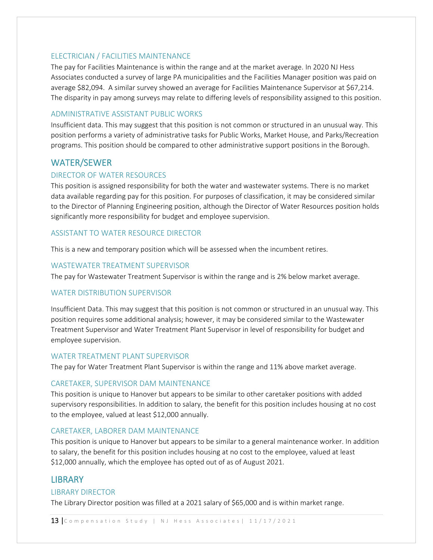#### ELECTRICIAN / FACILITIES MAINTENANCE

The pay for Facilities Maintenance is within the range and at the market average. In 2020 NJ Hess Associates conducted a survey of large PA municipalities and the Facilities Manager position was paid on average \$82,094. A similar survey showed an average for Facilities Maintenance Supervisor at \$67,214. The disparity in pay among surveys may relate to differing levels of responsibility assigned to this position.

#### ADMINISTRATIVE ASSISTANT PUBLIC WORKS

Insufficient data. This may suggest that this position is not common or structured in an unusual way. This position performs a variety of administrative tasks for Public Works, Market House, and Parks/Recreation programs. This position should be compared to other administrative support positions in the Borough.

## WATER/SEWER

#### DIRECTOR OF WATER RESOURCES

This position is assigned responsibility for both the water and wastewater systems. There is no market data available regarding pay for this position. For purposes of classification, it may be considered similar to the Director of Planning Engineering position, although the Director of Water Resources position holds significantly more responsibility for budget and employee supervision.

#### ASSISTANT TO WATER RESOURCE DIRECTOR

This is a new and temporary position which will be assessed when the incumbent retires.

#### WASTEWATER TREATMENT SUPERVISOR

The pay for Wastewater Treatment Supervisor is within the range and is 2% below market average.

#### WATER DISTRIBUTION SUPERVISOR

Insufficient Data. This may suggest that this position is not common or structured in an unusual way. This position requires some additional analysis; however, it may be considered similar to the Wastewater Treatment Supervisor and Water Treatment Plant Supervisor in level of responsibility for budget and employee supervision.

#### WATER TREATMENT PLANT SUPERVISOR

The pay for Water Treatment Plant Supervisor is within the range and 11% above market average.

#### CARETAKER, SUPERVISOR DAM MAINTENANCE

This position is unique to Hanover but appears to be similar to other caretaker positions with added supervisory responsibilities. In addition to salary, the benefit for this position includes housing at no cost to the employee, valued at least \$12,000 annually.

#### CARETAKER, LABORER DAM MAINTENANCE

This position is unique to Hanover but appears to be similar to a general maintenance worker. In addition to salary, the benefit for this position includes housing at no cost to the employee, valued at least \$12,000 annually, which the employee has opted out of as of August 2021.

### **LIBRARY**

#### LIBRARY DIRECTOR

The Library Director position was filled at a 2021 salary of \$65,000 and is within market range.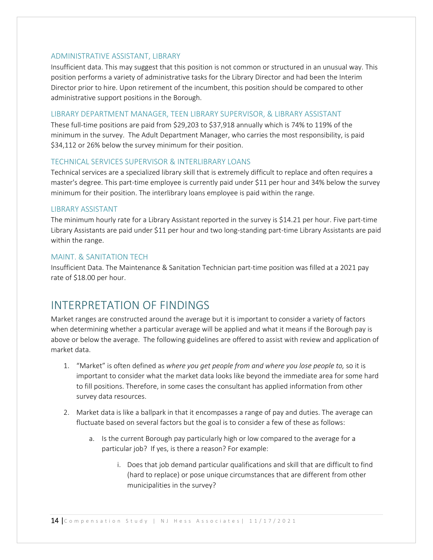#### ADMINISTRATIVE ASSISTANT, LIBRARY

Insufficient data. This may suggest that this position is not common or structured in an unusual way. This position performs a variety of administrative tasks for the Library Director and had been the Interim Director prior to hire. Upon retirement of the incumbent, this position should be compared to other administrative support positions in the Borough.

#### LIBRARY DEPARTMENT MANAGER, TEEN LIBRARY SUPERVISOR, & LIBRARY ASSISTANT

These full-time positions are paid from \$29,203 to \$37,918 annually which is 74% to 119% of the minimum in the survey. The Adult Department Manager, who carries the most responsibility, is paid \$34,112 or 26% below the survey minimum for their position.

#### TECHNICAL SERVICES SUPERVISOR & INTERLIBRARY LOANS

Technical services are a specialized library skill that is extremely difficult to replace and often requires a master's degree. This part-time employee is currently paid under \$11 per hour and 34% below the survey minimum for their position. The interlibrary loans employee is paid within the range.

#### LIBRARY ASSISTANT

The minimum hourly rate for a Library Assistant reported in the survey is \$14.21 per hour. Five part‐time Library Assistants are paid under \$11 per hour and two long‐standing part‐time Library Assistants are paid within the range.

#### MAINT. & SANITATION TECH

Insufficient Data. The Maintenance & Sanitation Technician part‐time position was filled at a 2021 pay rate of \$18.00 per hour.

## INTERPRETATION OF FINDINGS

Market ranges are constructed around the average but it is important to consider a variety of factors when determining whether a particular average will be applied and what it means if the Borough pay is above or below the average. The following guidelines are offered to assist with review and application of market data.

- 1. "Market" is often defined as *where you get people from and where you lose people to,* so it is important to consider what the market data looks like beyond the immediate area for some hard to fill positions. Therefore, in some cases the consultant has applied information from other survey data resources.
- 2. Market data is like a ballpark in that it encompasses a range of pay and duties. The average can fluctuate based on several factors but the goal is to consider a few of these as follows:
	- a. Is the current Borough pay particularly high or low compared to the average for a particular job? If yes, is there a reason? For example:
		- i. Does that job demand particular qualifications and skill that are difficult to find (hard to replace) or pose unique circumstances that are different from other municipalities in the survey?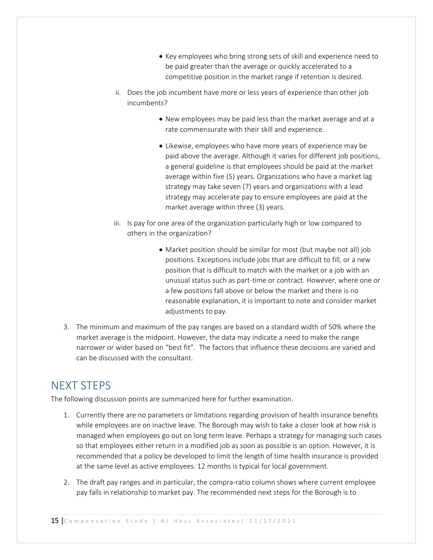- Key employees who bring strong sets of skill and experience need to be paid greater than the average or quickly accelerated to a competitive position in the market range if retention is desired.
- ii. Does the job incumbent have more or less years of experience than other job incumbents?
	- New employees may be paid less than the market average and at a rate commensurate with their skill and experience.
	- Likewise, employees who have more years of experience may be paid above the average. Although it varies for different job positions, a general guideline is that employees should be paid at the market average within five (5) years. Organizations who have a market lag strategy may take seven (7) years and organizations with a lead strategy may accelerate pay to ensure employees are paid at the market average within three (3) years.
- iii. Is pay for one area of the organization particularly high or low compared to others in the organization?
	- Market position should be similar for most (but maybe not all) job positions. Exceptions include jobs that are difficult to fill, or a new position that is difficult to match with the market or a job with an unusual status such as part‐time or contract. However, where one or a few positions fall above or below the market and there is no reasonable explanation, it is important to note and consider market adjustments to pay.
- 3. The minimum and maximum of the pay ranges are based on a standard width of 50% where the market average is the midpoint. However, the data may indicate a need to make the range narrower or wider based on "best fit". The factors that influence these decisions are varied and can be discussed with the consultant.

## NEXT STEPS

The following discussion points are summarized here for further examination.

- 1. Currently there are no parameters or limitations regarding provision of health insurance benefits while employees are on inactive leave. The Borough may wish to take a closer look at how risk is managed when employees go out on long term leave. Perhaps a strategy for managing such cases so that employees either return in a modified job as soon as possible is an option. However, it is recommended that a policy be developed to limit the length of time health insurance is provided at the same level as active employees. 12 months is typical for local government.
- 2. The draft pay ranges and in particular, the compra-ratio column shows where current employee pay falls in relationship to market pay. The recommended next steps for the Borough is to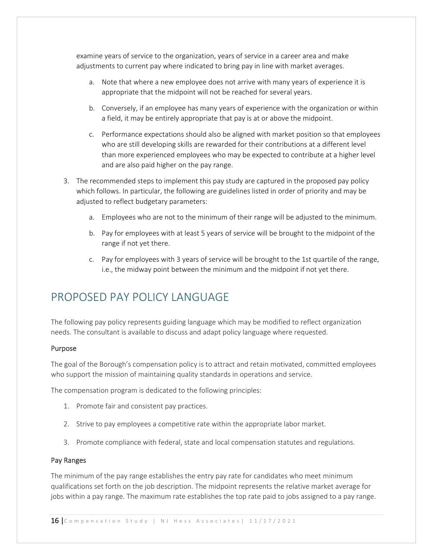examine years of service to the organization, years of service in a career area and make adjustments to current pay where indicated to bring pay in line with market averages.

- a. Note that where a new employee does not arrive with many years of experience it is appropriate that the midpoint will not be reached for several years.
- b. Conversely, if an employee has many years of experience with the organization or within a field, it may be entirely appropriate that pay is at or above the midpoint.
- c. Performance expectations should also be aligned with market position so that employees who are still developing skills are rewarded for their contributions at a different level than more experienced employees who may be expected to contribute at a higher level and are also paid higher on the pay range.
- 3. The recommended steps to implement this pay study are captured in the proposed pay policy which follows. In particular, the following are guidelines listed in order of priority and may be adjusted to reflect budgetary parameters:
	- a. Employees who are not to the minimum of their range will be adjusted to the minimum.
	- b. Pay for employees with at least 5 years of service will be brought to the midpoint of the range if not yet there.
	- c. Pay for employees with 3 years of service will be brought to the 1st quartile of the range, i.e., the midway point between the minimum and the midpoint if not yet there.

## PROPOSED PAY POLICY LANGUAGE

The following pay policy represents guiding language which may be modified to reflect organization needs. The consultant is available to discuss and adapt policy language where requested.

#### Purpose

The goal of the Borough's compensation policy is to attract and retain motivated, committed employees who support the mission of maintaining quality standards in operations and service.

The compensation program is dedicated to the following principles:

- 1. Promote fair and consistent pay practices.
- 2. Strive to pay employees a competitive rate within the appropriate labor market.
- 3. Promote compliance with federal, state and local compensation statutes and regulations.

#### Pay Ranges

The minimum of the pay range establishes the entry pay rate for candidates who meet minimum qualifications set forth on the job description. The midpoint represents the relative market average for jobs within a pay range. The maximum rate establishes the top rate paid to jobs assigned to a pay range.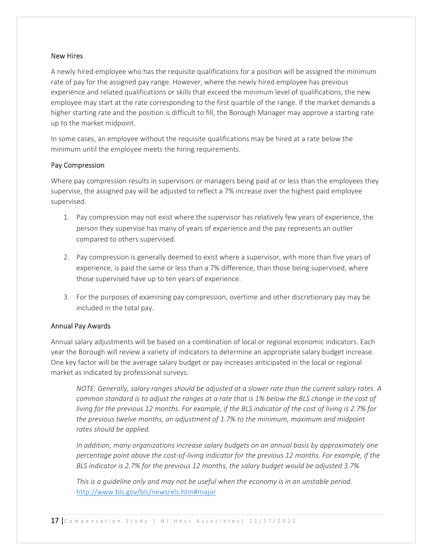#### New Hires

A newly hired employee who has the requisite qualifications for a position will be assigned the minimum rate of pay for the assigned pay range. However, where the newly hired employee has previous experience and related qualifications or skills that exceed the minimum level of qualifications, the new employee may start at the rate corresponding to the first quartile of the range. If the market demands a higher starting rate and the position is difficult to fill, the Borough Manager may approve a starting rate up to the market midpoint.

In some cases, an employee without the requisite qualifications may be hired at a rate below the minimum until the employee meets the hiring requirements.

#### Pay Compression

Where pay compression results in supervisors or managers being paid at or less than the employees they supervise, the assigned pay will be adjusted to reflect a 7% increase over the highest paid employee supervised.

- 1. Pay compression may not exist where the supervisor has relatively few years of experience, the person they supervise has many of years of experience and the pay represents an outlier compared to others supervised.
- 2. Pay compression is generally deemed to exist where a supervisor, with more than five years of experience, is paid the same or less than a 7% difference, than those being supervised, where those supervised have up to ten years of experience.
- 3. For the purposes of examining pay compression, overtime and other discretionary pay may be included in the total pay.

#### Annual Pay Awards

Annual salary adjustments will be based on a combination of local or regional economic indicators. Each year the Borough will review a variety of indicators to determine an appropriate salary budget increase. One key factor will be the average salary budget or pay increases anticipated in the local or regional market as indicated by professional surveys.

*NOTE: Generally, salary ranges should be adjusted at a slower rate than the current salary rates. A common standard is to adjust the ranges at a rate that is 1% below the BLS change in the cost of living for the previous 12 months. For example, if the BLS indicator of the cost of living is 2.7% for the previous twelve months, an adjustment of 1.7% to the minimum, maximum and midpoint rates should be applied.* 

*In addition, many organizations increase salary budgets on an annual basis by approximately one percentage point above the cost‐of‐living indicator for the previous 12 months. For example, if the BLS indicator is 2.7% for the previous 12 months, the salary budget would be adjusted 3.7%* 

*This is a guideline only and may not be useful when the economy is in an unstable period.*  http://www.bls.gov/bls/newsrels.htm#major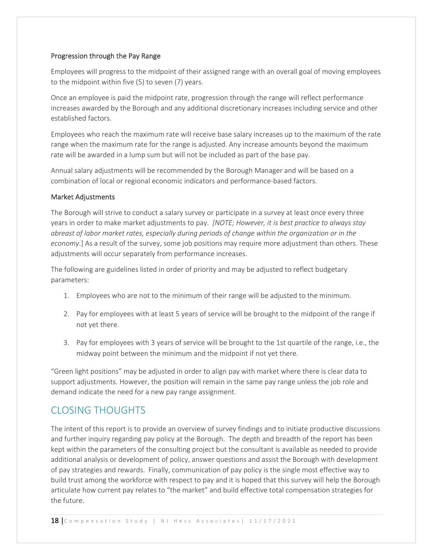#### Progression through the Pay Range

Employees will progress to the midpoint of their assigned range with an overall goal of moving employees to the midpoint within five (5) to seven (7) years.

Once an employee is paid the midpoint rate, progression through the range will reflect performance increases awarded by the Borough and any additional discretionary increases including service and other established factors.

Employees who reach the maximum rate will receive base salary increases up to the maximum of the rate range when the maximum rate for the range is adjusted. Any increase amounts beyond the maximum rate will be awarded in a lump sum but will not be included as part of the base pay.

Annual salary adjustments will be recommended by the Borough Manager and will be based on a combination of local or regional economic indicators and performance‐based factors.

#### Market Adjustments

The Borough will strive to conduct a salary survey or participate in a survey at least once every three years in order to make market adjustments to pay. *[NOTE; However, it is best practice to always stay abreast of labor market rates, especially during periods of change within the organization or in the economy*.] As a result of the survey, some job positions may require more adjustment than others. These adjustments will occur separately from performance increases.

The following are guidelines listed in order of priority and may be adjusted to reflect budgetary parameters:

- 1. Employees who are not to the minimum of their range will be adjusted to the minimum.
- 2. Pay for employees with at least 5 years of service will be brought to the midpoint of the range if not yet there.
- 3. Pay for employees with 3 years of service will be brought to the 1st quartile of the range, i.e., the midway point between the minimum and the midpoint if not yet there.

"Green light positions" may be adjusted in order to align pay with market where there is clear data to support adjustments. However, the position will remain in the same pay range unless the job role and demand indicate the need for a new pay range assignment.

## CLOSING THOUGHTS

The intent of this report is to provide an overview of survey findings and to initiate productive discussions and further inquiry regarding pay policy at the Borough. The depth and breadth of the report has been kept within the parameters of the consulting project but the consultant is available as needed to provide additional analysis or development of policy, answer questions and assist the Borough with development of pay strategies and rewards. Finally, communication of pay policy is the single most effective way to build trust among the workforce with respect to pay and it is hoped that this survey will help the Borough articulate how current pay relates to "the market" and build effective total compensation strategies for the future.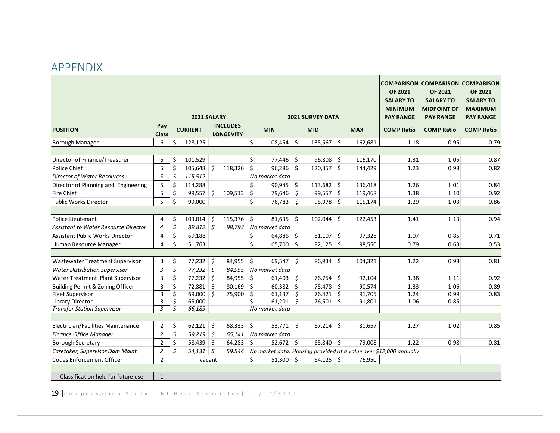## APPENDIX

|                                             |                     |                         |                 |                                     | <b>2021 SURVEY DATA</b> |  |              |  |            | <b>OF 2021</b><br><b>SALARY TO</b><br><b>MINIMUM</b>               | <b>COMPARISON COMPARISON COMPARISON</b><br><b>OF 2021</b><br><b>SALARY TO</b><br><b>MIDPOINT OF</b> | <b>OF 2021</b><br><b>SALARY TO</b><br><b>MAXIMUM</b> |
|---------------------------------------------|---------------------|-------------------------|-----------------|-------------------------------------|-------------------------|--|--------------|--|------------|--------------------------------------------------------------------|-----------------------------------------------------------------------------------------------------|------------------------------------------------------|
|                                             |                     |                         | 2021 SALARY     |                                     |                         |  |              |  |            | <b>PAY RANGE</b>                                                   | <b>PAY RANGE</b>                                                                                    | <b>PAY RANGE</b>                                     |
| <b>POSITION</b>                             | Pay<br><b>Class</b> |                         | <b>CURRENT</b>  | <b>INCLUDES</b><br><b>LONGEVITY</b> | <b>MIN</b>              |  | <b>MID</b>   |  | <b>MAX</b> | <b>COMP Ratio</b>                                                  | <b>COMP Ratio</b>                                                                                   | <b>COMP Ratio</b>                                    |
| Borough Manager                             | 6                   | \$                      | 128,125         |                                     | \$<br>$108,454$ \$      |  | $135,567$ \$ |  | 162,681    | 1.18                                                               | 0.95                                                                                                | 0.79                                                 |
|                                             |                     |                         |                 |                                     |                         |  |              |  |            |                                                                    |                                                                                                     |                                                      |
| Director of Finance/Treasurer               | 5                   | \$                      | 101,529         |                                     | \$<br>$77,446$ \$       |  | $96,808$ \$  |  | 116,170    | 1.31                                                               | 1.05                                                                                                | 0.87                                                 |
| Police Chief                                | 5                   | \$                      | 105,648         | \$<br>118,326                       | \$<br>$96,286$ \$       |  | $120,357$ \$ |  | 144,429    | 1.23                                                               | 0.98                                                                                                | 0.82                                                 |
| <b>Director of Water Resources</b>          | 5                   | $\varsigma$             | 115,512         |                                     | No market data          |  |              |  |            |                                                                    |                                                                                                     |                                                      |
| Director of Planning and Engineering        | 5                   | \$                      | 114,288         |                                     | \$<br>$90,945$ \$       |  | $113,682$ \$ |  | 136,418    | 1.26                                                               | 1.01                                                                                                | 0.84                                                 |
| <b>Fire Chief</b>                           | 5                   | \$                      | $99,557$ \$     | 109,513                             | \$<br>79,646 \$         |  | $99,557$ \$  |  | 119,468    | 1.38                                                               | 1.10                                                                                                | 0.92                                                 |
| <b>Public Works Director</b>                | 5                   | \$                      | 99.000          |                                     | \$<br>$76,783$ \$       |  | $95,978$ \$  |  | 115,174    | 1.29                                                               | 1.03                                                                                                | 0.86                                                 |
|                                             |                     |                         |                 |                                     |                         |  |              |  |            |                                                                    |                                                                                                     |                                                      |
| <b>Police Lieutenant</b>                    | 4                   | \$                      | 103,014         | \$<br>115,376                       | \$<br>$81,635$ \$       |  | $102,044$ \$ |  | 122,453    | 1.41                                                               | 1.13                                                                                                | 0.94                                                 |
| <b>Assistant to Water Resource Director</b> | 4                   | \$                      | $89,812$ \$     | 98,793                              | No market data          |  |              |  |            |                                                                    |                                                                                                     |                                                      |
| <b>Assistant Public Works Director</b>      | 4                   | \$                      | 69,188          |                                     | \$<br>$64,886$ \$       |  | $81,107$ \$  |  | 97,328     | 1.07                                                               | 0.85                                                                                                | 0.71                                                 |
| Human Resource Manager                      | $\overline{4}$      | \$                      | 51,763          |                                     | \$<br>$65,700$ \$       |  | $82,125$ \$  |  | 98,550     | 0.79                                                               | 0.63                                                                                                | 0.53                                                 |
|                                             |                     |                         |                 |                                     |                         |  |              |  |            |                                                                    |                                                                                                     |                                                      |
| <b>Wastewater Treatment Supervisor</b>      | 3                   | \$                      | $77,232$ \$     | 84,955                              | \$<br>$69,547$ \$       |  | $86,934$ \$  |  | 104,321    | 1.22                                                               | 0.98                                                                                                | 0.81                                                 |
| <b>Water Distribution Supervisor</b>        | 3                   | $\boldsymbol{\zeta}$    | $77,232$ \$     | 84,955                              | No market data          |  |              |  |            |                                                                    |                                                                                                     |                                                      |
| Water Treatment Plant Supervisor            | 3                   | \$                      | $77,232$ \$     | 84,955                              | \$<br>$61,403$ \$       |  | $76,754$ \$  |  | 92,104     | 1.38                                                               | 1.11                                                                                                | 0.92                                                 |
| Building Permit & Zoning Officer            | 3                   | \$                      | $72,881$ \$     | 80,169                              | \$<br>$60,382$ \$       |  | 75,478 \$    |  | 90,574     | 1.33                                                               | 1.06                                                                                                | 0.89                                                 |
| <b>Fleet Supervisor</b>                     | $\mathsf 3$         | $\overline{\mathsf{S}}$ | $69,000$ \$     | 75,900                              | \$<br>$61,137$ \$       |  | $76,421$ \$  |  | 91,705     | 1.24                                                               | 0.99                                                                                                | 0.83                                                 |
| <b>Library Director</b>                     | 3                   | $\overline{\mathsf{S}}$ | 65,000          |                                     | \$<br>$61,201$ \$       |  | 76,501 \$    |  | 91,801     | 1.06                                                               | 0.85                                                                                                |                                                      |
| <b>Transfer Station Supervisor</b>          | 3                   | \$                      | 66,189          |                                     | No market data          |  |              |  |            |                                                                    |                                                                                                     |                                                      |
|                                             |                     |                         |                 |                                     |                         |  |              |  |            |                                                                    |                                                                                                     |                                                      |
| Electrician/Facilities Maintenance          | 2                   | \$                      | $62,121$ \$     | 68,333                              | \$<br>$53,771$ \$       |  | $67,214$ \$  |  | 80,657     | 1.27                                                               | 1.02                                                                                                | 0.85                                                 |
| Finance Office Manager                      | $\overline{c}$      | \$                      | $59,219$ \$     | 65,141                              | No market data          |  |              |  |            |                                                                    |                                                                                                     |                                                      |
| <b>Borough Secretary</b>                    | $\mathbf 2$         | \$                      | $58,439$ \$     | 64,283                              | \$<br>$52,672$ \$       |  | $65,840$ \$  |  | 79,008     | 1.22                                                               | 0.98                                                                                                | 0.81                                                 |
| Caretaker, Supervisor Dam Maint.            | $\overline{2}$      | \$                      | $54,131 \mid 5$ | 59,544                              |                         |  |              |  |            | No market data; Housing provided at a value over \$12,000 annually |                                                                                                     |                                                      |
| <b>Codes Enforcement Officer</b>            | $\overline{2}$      |                         | vacant          |                                     | \$<br>$51,300$ \$       |  | $64,125$ \$  |  | 76,950     |                                                                    |                                                                                                     |                                                      |
| Classification held for future use          | $\mathbf{1}$        |                         |                 |                                     |                         |  |              |  |            |                                                                    |                                                                                                     |                                                      |

19 | Compensation Study | NJ Hess Associates | 11/17/2021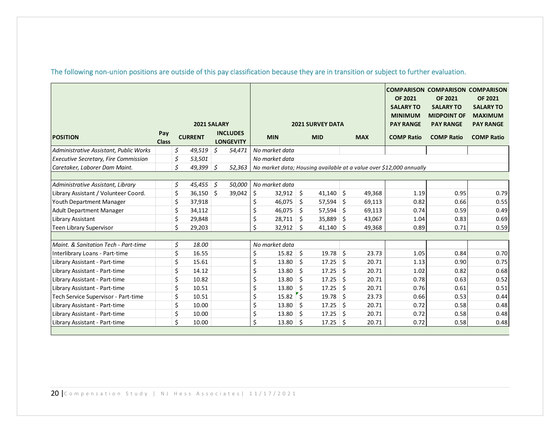|                                             |                     |                      | 2021 SALARY    |                                     | <b>2021 SURVEY DATA</b> |        |         |            |     |            | <b>OF 2021</b><br><b>SALARY TO</b><br><b>MINIMUM</b><br><b>PAY RANGE</b> | <b>COMPARISON COMPARISON COMPARISON</b><br><b>OF 2021</b><br><b>SALARY TO</b><br><b>MIDPOINT OF</b><br><b>PAY RANGE</b> | <b>OF 2021</b><br><b>SALARY TO</b><br><b>MAXIMUM</b><br><b>PAY RANGE</b> |
|---------------------------------------------|---------------------|----------------------|----------------|-------------------------------------|-------------------------|--------|---------|------------|-----|------------|--------------------------------------------------------------------------|-------------------------------------------------------------------------------------------------------------------------|--------------------------------------------------------------------------|
| <b>POSITION</b>                             | Pay<br><b>Class</b> |                      | <b>CURRENT</b> | <b>INCLUDES</b><br><b>LONGEVITY</b> | <b>MIN</b>              |        |         | <b>MID</b> |     | <b>MAX</b> | <b>COMP Ratio</b>                                                        | <b>COMP Ratio</b>                                                                                                       | <b>COMP Ratio</b>                                                        |
| Administrative Assistant, Public Works      |                     | $\boldsymbol{\zeta}$ | 49,519         | \$<br>54,471                        | No market data          |        |         |            |     |            |                                                                          |                                                                                                                         |                                                                          |
| <b>Executive Secretary, Fire Commission</b> |                     | \$                   | 53,501         |                                     | No market data          |        |         |            |     |            |                                                                          |                                                                                                                         |                                                                          |
| Caretaker, Laborer Dam Maint.               |                     | \$                   | 49,399         | \$<br>52,363                        |                         |        |         |            |     |            | No market data; Housing available at a value over \$12,000 annually      |                                                                                                                         |                                                                          |
|                                             |                     |                      |                |                                     |                         |        |         |            |     |            |                                                                          |                                                                                                                         |                                                                          |
| Administrative Assistant, Library           |                     | \$                   | 45,455         | \$<br>50,000                        | No market data          |        |         |            |     |            |                                                                          |                                                                                                                         |                                                                          |
| Library Assistant / Volunteer Coord.        |                     | \$                   | 36,150         | \$<br>39,042                        | \$                      | 32,912 | $\zeta$ | 41,140     | S.  | 49,368     | 1.19                                                                     | 0.95                                                                                                                    | 0.79                                                                     |
| <b>Youth Department Manager</b>             |                     | \$                   | 37,918         |                                     | \$                      | 46,075 | \$      | 57,594     | \$  | 69,113     | 0.82                                                                     | 0.66                                                                                                                    | 0.55                                                                     |
| <b>Adult Department Manager</b>             |                     | \$                   | 34,112         |                                     | \$                      | 46,075 | \$      | 57,594     | Ŝ.  | 69,113     | 0.74                                                                     | 0.59                                                                                                                    | 0.49                                                                     |
| Library Assistant                           |                     | \$                   | 29,848         |                                     | \$                      | 28,711 | \$      | 35,889     | \$  | 43,067     | 1.04                                                                     | 0.83                                                                                                                    | 0.69                                                                     |
| Teen Library Supervisor                     |                     | \$                   | 29,203         |                                     | \$                      | 32,912 | \$      | 41,140     | \$. | 49,368     | 0.89                                                                     | 0.71                                                                                                                    | 0.59                                                                     |
|                                             |                     |                      |                |                                     |                         |        |         |            |     |            |                                                                          |                                                                                                                         |                                                                          |
| Maint. & Sanitation Tech - Part-time        |                     | \$                   | 18.00          |                                     | No market data          |        |         |            |     |            |                                                                          |                                                                                                                         |                                                                          |
| Interlibrary Loans - Part-time              |                     | \$                   | 16.55          |                                     | \$                      | 15.82  | $\zeta$ | 19.78      | Ś.  | 23.73      | 1.05                                                                     | 0.84                                                                                                                    | 0.70                                                                     |
| Library Assistant - Part-time               |                     | \$                   | 15.61          |                                     | \$                      | 13.80  | \$      | 17.25      | Ŝ.  | 20.71      | 1.13                                                                     | 0.90                                                                                                                    | 0.75                                                                     |
| Library Assistant - Part-time               |                     | \$                   | 14.12          |                                     | \$                      | 13.80  | \$      | 17.25      | Ŝ.  | 20.71      | 1.02                                                                     | 0.82                                                                                                                    | 0.68                                                                     |
| Library Assistant - Part-time               |                     | \$                   | 10.82          |                                     | \$                      | 13.80  | Ŝ.      | 17.25      | Ŝ.  | 20.71      | 0.78                                                                     | 0.63                                                                                                                    | 0.52                                                                     |
| Library Assistant - Part-time               |                     | \$                   | 10.51          |                                     | \$                      | 13.80  | \$      | 17.25      | Ŝ.  | 20.71      | 0.76                                                                     | 0.61                                                                                                                    | 0.51                                                                     |
| Tech Service Supervisor - Part-time         |                     | \$                   | 10.51          |                                     | \$                      | 15.82  | $\zeta$ | 19.78      | Ŝ.  | 23.73      | 0.66                                                                     | 0.53                                                                                                                    | 0.44                                                                     |
| Library Assistant - Part-time               |                     | \$                   | 10.00          |                                     | \$                      | 13.80  | \$      | 17.25      | Ŝ.  | 20.71      | 0.72                                                                     | 0.58                                                                                                                    | 0.48                                                                     |
| Library Assistant - Part-time               |                     | \$                   | 10.00          |                                     | \$                      | 13.80  | \$      | 17.25      | Ŝ.  | 20.71      | 0.72                                                                     | 0.58                                                                                                                    | 0.48                                                                     |
| Library Assistant - Part-time               |                     | \$                   | 10.00          |                                     | $\mathsf{\hat{S}}$      | 13.80  | \$      | 17.25      | Ŝ.  | 20.71      | 0.72                                                                     | 0.58                                                                                                                    | 0.48                                                                     |

The following non‐union positions are outside of this pay classification because they are in transition or subject to further evaluation.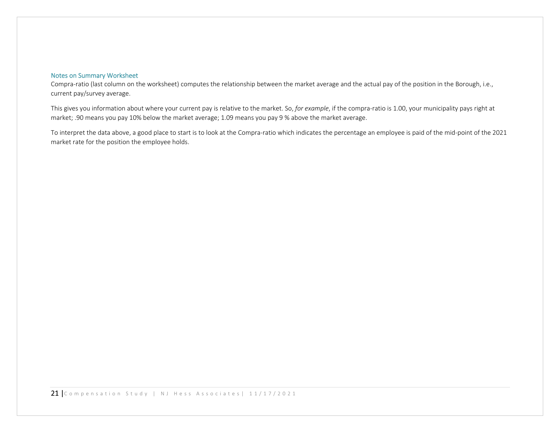#### Notes on Summary Worksheet

Compra-ratio (last column on the worksheet) computes the relationship between the market average and the actual pay of the position in the Borough, i.e., current pay/survey average.

This gives you information about where your current pay is relative to the market. So, for example, if the compra-ratio is 1.00, your municipality pays right at market; .90 means you pay 10% below the market average; 1.09 means you pay 9 % above the market average.

To interpret the data above, a good place to start is to look at the Compra‐ratio which indicates the percentage an employee is paid of the mid‐point of the 2021 market rate for the position the employee holds.

21 | Compensation Study | NJ Hess Associates | 11/17/2021